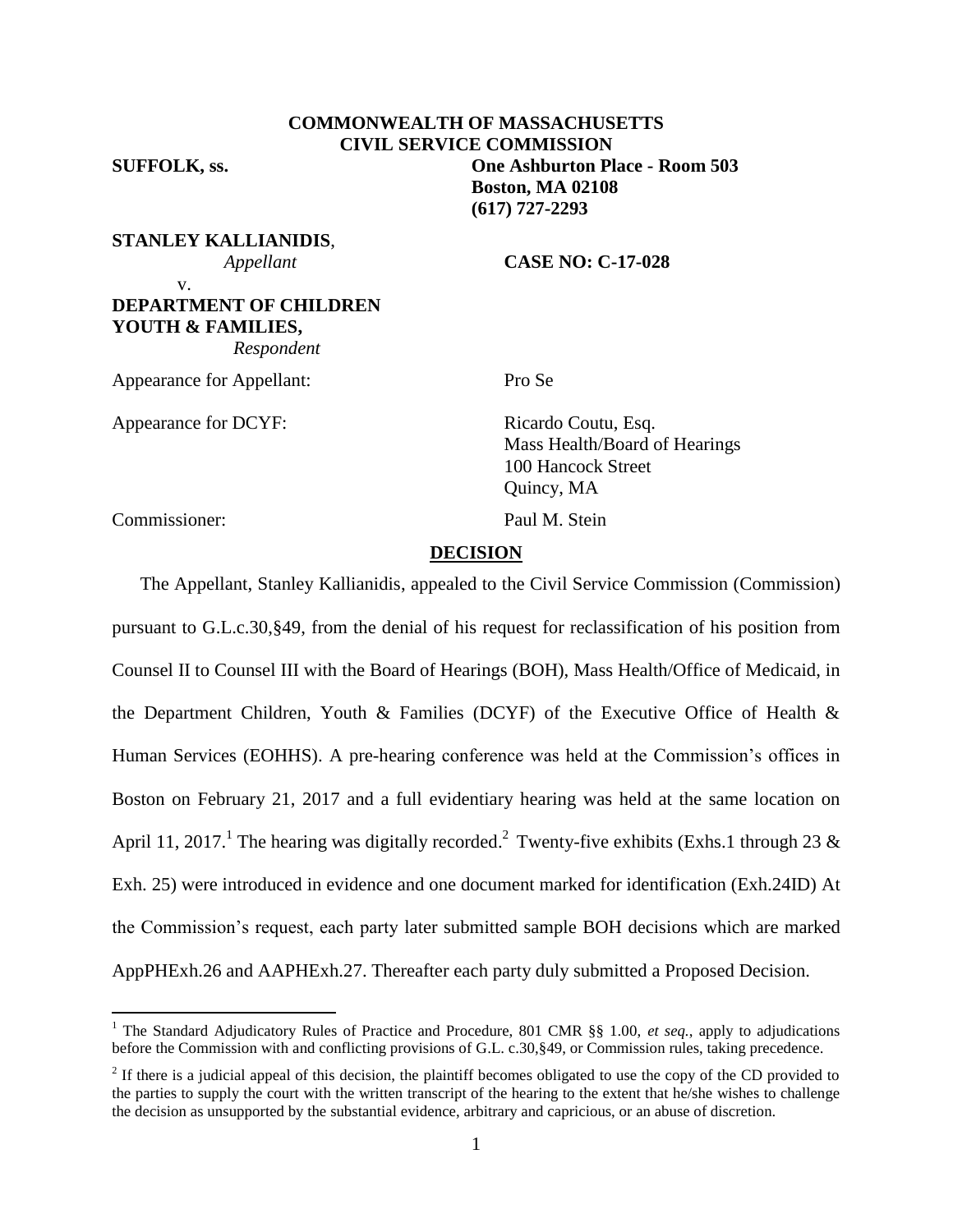**COMMONWEALTH OF MASSACHUSETTS CIVIL SERVICE COMMISSION SUFFOLK, ss. One Ashburton Place - Room 503 Boston, MA 02108 (617) 727-2293**

**STANLEY KALLIANIDIS**, v.

 *Appellant* **CASE NO: C-17-028**

**DEPARTMENT OF CHILDREN YOUTH & FAMILIES,**  *Respondent*

Appearance for Appellant: Pro Se

Appearance for DCYF: Ricardo Coutu, Esq.

Mass Health/Board of Hearings 100 Hancock Street Quincy, MA

Commissioner: Paul M. Stein

 $\overline{a}$ 

#### **DECISION**

The Appellant, Stanley Kallianidis, appealed to the Civil Service Commission (Commission) pursuant to G.L.c.30,§49, from the denial of his request for reclassification of his position from Counsel II to Counsel III with the Board of Hearings (BOH), Mass Health/Office of Medicaid, in the Department Children, Youth & Families (DCYF) of the Executive Office of Health  $\&$ Human Services (EOHHS). A pre-hearing conference was held at the Commission's offices in Boston on February 21, 2017 and a full evidentiary hearing was held at the same location on April 11, 2017.<sup>1</sup> The hearing was digitally recorded.<sup>2</sup> Twenty-five exhibits (Exhs.1 through 23 & Exh. 25) were introduced in evidence and one document marked for identification (Exh.24ID) At the Commission's request, each party later submitted sample BOH decisions which are marked AppPHExh.26 and AAPHExh.27. Thereafter each party duly submitted a Proposed Decision.

<sup>&</sup>lt;sup>1</sup> The Standard Adjudicatory Rules of Practice and Procedure, 801 CMR §§ 1.00, *et seq.*, apply to adjudications before the Commission with and conflicting provisions of G.L. c.30,§49, or Commission rules, taking precedence.

 $2<sup>2</sup>$  If there is a judicial appeal of this decision, the plaintiff becomes obligated to use the copy of the CD provided to the parties to supply the court with the written transcript of the hearing to the extent that he/she wishes to challenge the decision as unsupported by the substantial evidence, arbitrary and capricious, or an abuse of discretion.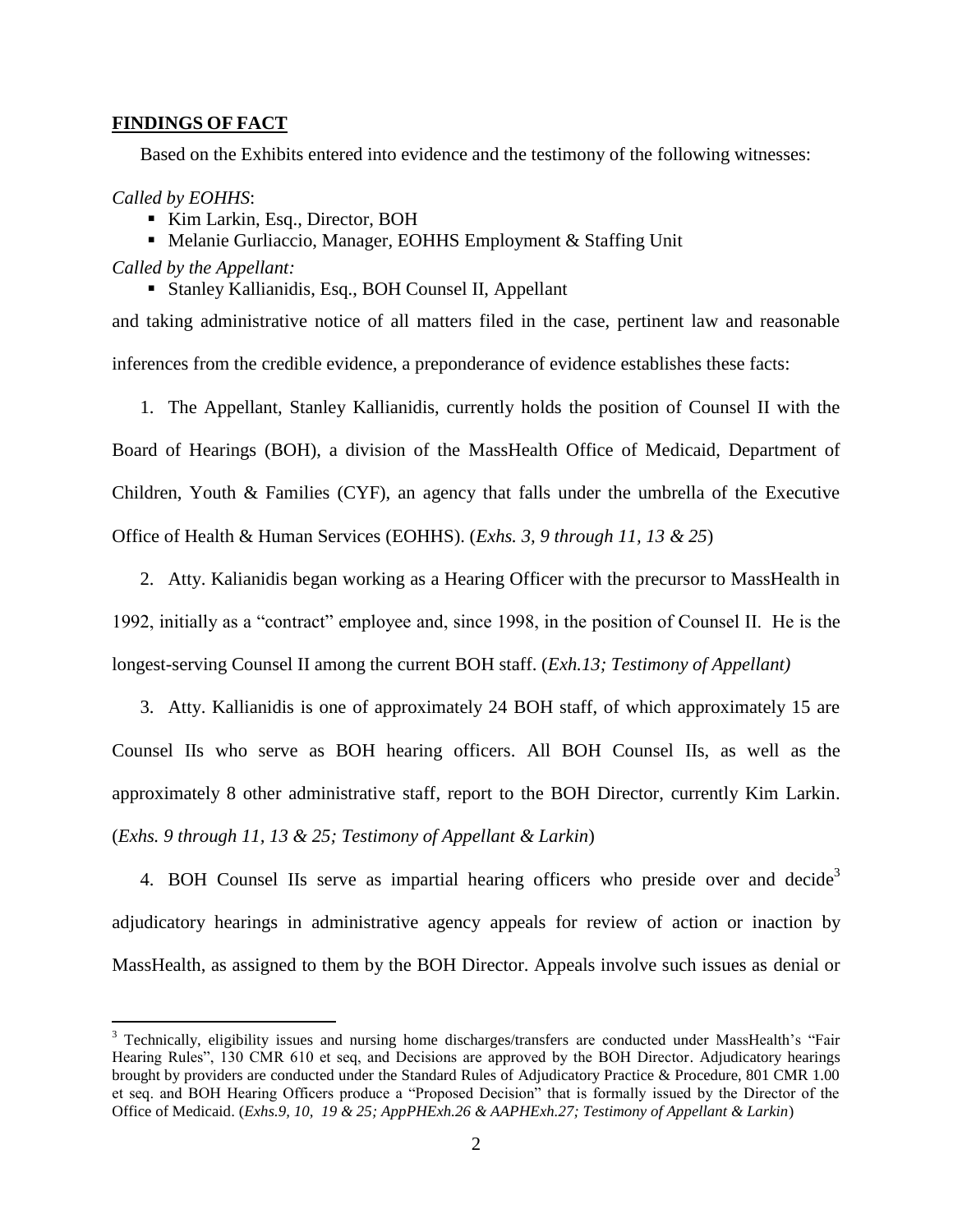## **FINDINGS OF FACT**

Based on the Exhibits entered into evidence and the testimony of the following witnesses:

## *Called by EOHHS*:

 $\overline{a}$ 

- Kim Larkin, Esq., Director, BOH
- Melanie Gurliaccio, Manager, EOHHS Employment & Staffing Unit

### *Called by the Appellant:*

Stanley Kallianidis, Esq., BOH Counsel II, Appellant

and taking administrative notice of all matters filed in the case, pertinent law and reasonable inferences from the credible evidence, a preponderance of evidence establishes these facts:

1. The Appellant, Stanley Kallianidis, currently holds the position of Counsel II with the Board of Hearings (BOH), a division of the MassHealth Office of Medicaid, Department of Children, Youth & Families (CYF), an agency that falls under the umbrella of the Executive Office of Health & Human Services (EOHHS). (*Exhs. 3, 9 through 11, 13 & 25*)

2. Atty. Kalianidis began working as a Hearing Officer with the precursor to MassHealth in 1992, initially as a "contract" employee and, since 1998, in the position of Counsel II. He is the longest-serving Counsel II among the current BOH staff. (*Exh.13; Testimony of Appellant)*

3. Atty. Kallianidis is one of approximately 24 BOH staff, of which approximately 15 are Counsel IIs who serve as BOH hearing officers. All BOH Counsel IIs, as well as the approximately 8 other administrative staff, report to the BOH Director, currently Kim Larkin. (*Exhs. 9 through 11, 13 & 25; Testimony of Appellant & Larkin*)

4. BOH Counsel IIs serve as impartial hearing officers who preside over and decide<sup>3</sup> adjudicatory hearings in administrative agency appeals for review of action or inaction by MassHealth, as assigned to them by the BOH Director. Appeals involve such issues as denial or

<sup>&</sup>lt;sup>3</sup> Technically, eligibility issues and nursing home discharges/transfers are conducted under MassHealth's "Fair Hearing Rules", 130 CMR 610 et seq, and Decisions are approved by the BOH Director. Adjudicatory hearings brought by providers are conducted under the Standard Rules of Adjudicatory Practice & Procedure, 801 CMR 1.00 et seq. and BOH Hearing Officers produce a "Proposed Decision" that is formally issued by the Director of the Office of Medicaid. (*Exhs.9, 10, 19 & 25; AppPHExh.26 & AAPHExh.27; Testimony of Appellant & Larkin*)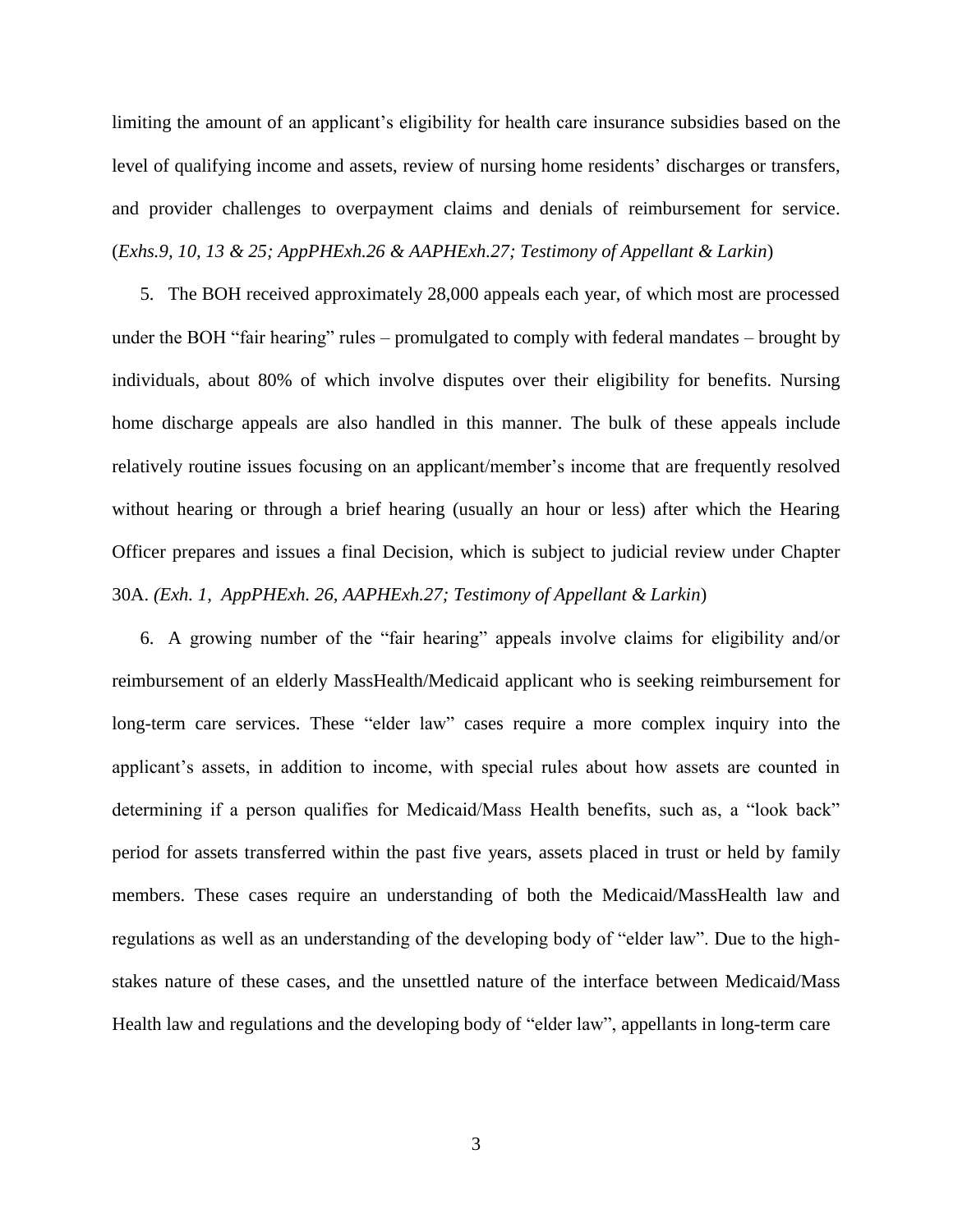limiting the amount of an applicant's eligibility for health care insurance subsidies based on the level of qualifying income and assets, review of nursing home residents' discharges or transfers, and provider challenges to overpayment claims and denials of reimbursement for service. (*Exhs.9, 10, 13 & 25; AppPHExh.26 & AAPHExh.27; Testimony of Appellant & Larkin*)

5. The BOH received approximately 28,000 appeals each year, of which most are processed under the BOH "fair hearing" rules – promulgated to comply with federal mandates – brought by individuals, about 80% of which involve disputes over their eligibility for benefits. Nursing home discharge appeals are also handled in this manner. The bulk of these appeals include relatively routine issues focusing on an applicant/member's income that are frequently resolved without hearing or through a brief hearing (usually an hour or less) after which the Hearing Officer prepares and issues a final Decision, which is subject to judicial review under Chapter 30A. *(Exh. 1, AppPHExh. 26, AAPHExh.27; Testimony of Appellant & Larkin*)

6. A growing number of the "fair hearing" appeals involve claims for eligibility and/or reimbursement of an elderly MassHealth/Medicaid applicant who is seeking reimbursement for long-term care services. These "elder law" cases require a more complex inquiry into the applicant's assets, in addition to income, with special rules about how assets are counted in determining if a person qualifies for Medicaid/Mass Health benefits, such as, a "look back" period for assets transferred within the past five years, assets placed in trust or held by family members. These cases require an understanding of both the Medicaid/MassHealth law and regulations as well as an understanding of the developing body of "elder law". Due to the highstakes nature of these cases, and the unsettled nature of the interface between Medicaid/Mass Health law and regulations and the developing body of "elder law", appellants in long-term care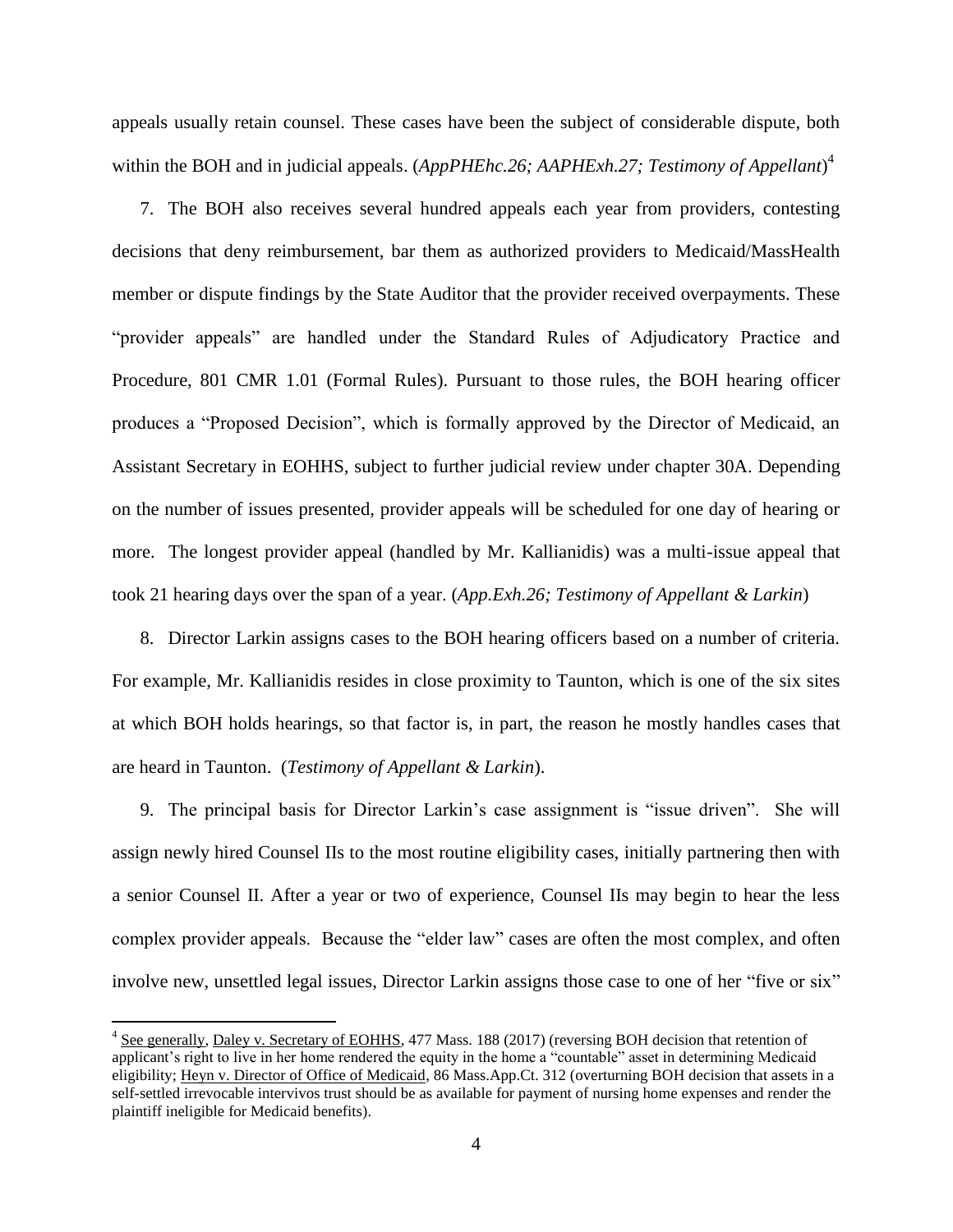appeals usually retain counsel. These cases have been the subject of considerable dispute, both within the BOH and in judicial appeals. (*AppPHEhc.26; AAPHExh.27; Testimony of Appellant*) 4

7. The BOH also receives several hundred appeals each year from providers, contesting decisions that deny reimbursement, bar them as authorized providers to Medicaid/MassHealth member or dispute findings by the State Auditor that the provider received overpayments. These "provider appeals" are handled under the Standard Rules of Adjudicatory Practice and Procedure, 801 CMR 1.01 (Formal Rules). Pursuant to those rules, the BOH hearing officer produces a "Proposed Decision", which is formally approved by the Director of Medicaid, an Assistant Secretary in EOHHS, subject to further judicial review under chapter 30A. Depending on the number of issues presented, provider appeals will be scheduled for one day of hearing or more. The longest provider appeal (handled by Mr. Kallianidis) was a multi-issue appeal that took 21 hearing days over the span of a year. (*App.Exh.26; Testimony of Appellant & Larkin*)

8. Director Larkin assigns cases to the BOH hearing officers based on a number of criteria. For example, Mr. Kallianidis resides in close proximity to Taunton, which is one of the six sites at which BOH holds hearings, so that factor is, in part, the reason he mostly handles cases that are heard in Taunton. (*Testimony of Appellant & Larkin*).

9. The principal basis for Director Larkin's case assignment is "issue driven". She will assign newly hired Counsel IIs to the most routine eligibility cases, initially partnering then with a senior Counsel II. After a year or two of experience, Counsel IIs may begin to hear the less complex provider appeals. Because the "elder law" cases are often the most complex, and often involve new, unsettled legal issues, Director Larkin assigns those case to one of her "five or six"

 $\overline{a}$ 

<sup>&</sup>lt;sup>4</sup> See generally, Daley v. Secretary of EOHHS, 477 Mass. 188 (2017) (reversing BOH decision that retention of applicant's right to live in her home rendered the equity in the home a "countable" asset in determining Medicaid eligibility; Heyn v. Director of Office of Medicaid, 86 Mass.App.Ct. 312 (overturning BOH decision that assets in a self-settled irrevocable intervivos trust should be as available for payment of nursing home expenses and render the plaintiff ineligible for Medicaid benefits).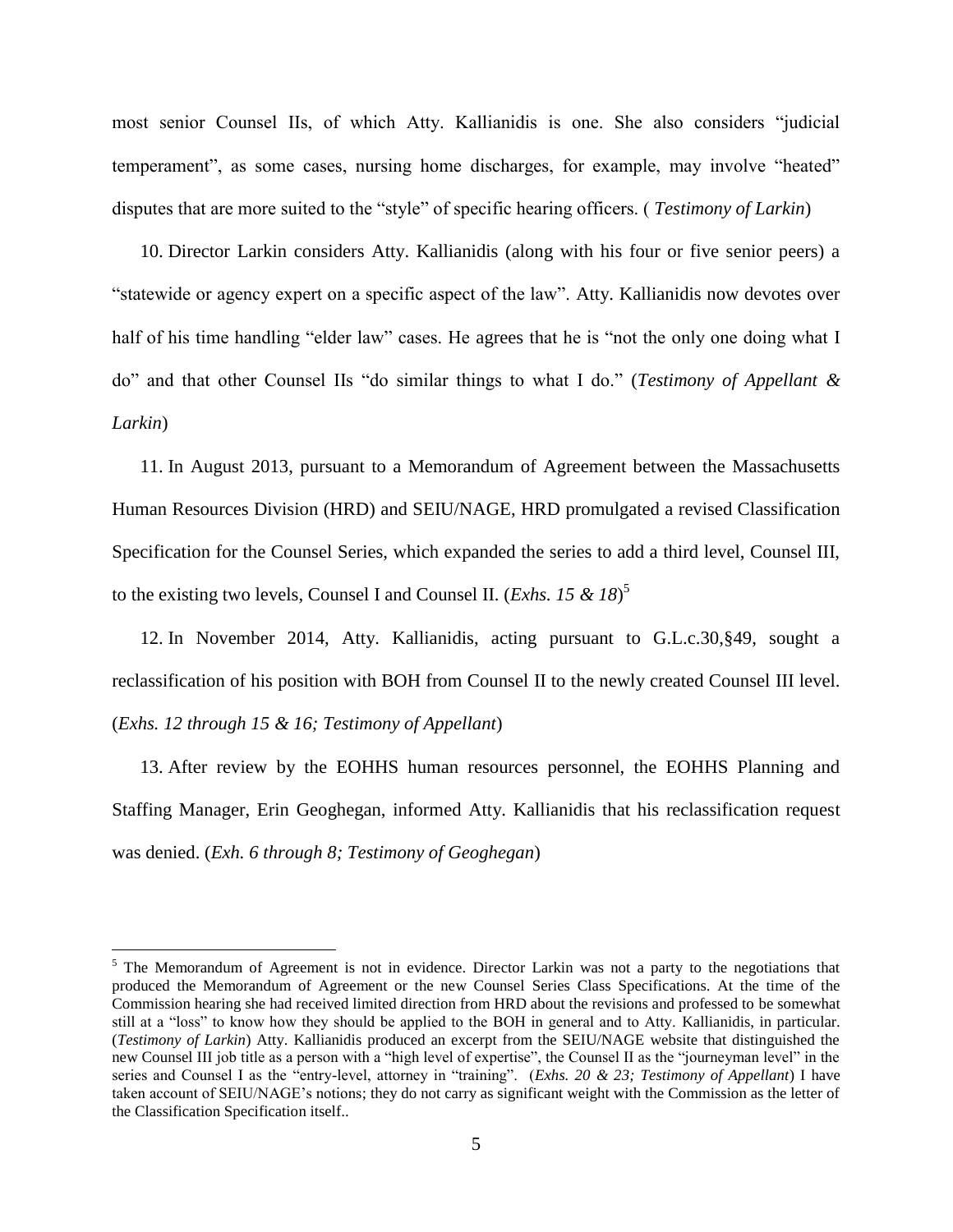most senior Counsel IIs, of which Atty. Kallianidis is one. She also considers "judicial temperament", as some cases, nursing home discharges, for example, may involve "heated" disputes that are more suited to the "style" of specific hearing officers. ( *Testimony of Larkin*)

10. Director Larkin considers Atty. Kallianidis (along with his four or five senior peers) a "statewide or agency expert on a specific aspect of the law". Atty. Kallianidis now devotes over half of his time handling "elder law" cases. He agrees that he is "not the only one doing what I do" and that other Counsel IIs "do similar things to what I do." (*Testimony of Appellant & Larkin*)

11. In August 2013, pursuant to a Memorandum of Agreement between the Massachusetts Human Resources Division (HRD) and SEIU/NAGE, HRD promulgated a revised Classification Specification for the Counsel Series, which expanded the series to add a third level, Counsel III, to the existing two levels, Counsel I and Counsel II. (*Exhs. 15 & 18*) 5

12. In November 2014, Atty. Kallianidis, acting pursuant to G.L.c.30,§49, sought a reclassification of his position with BOH from Counsel II to the newly created Counsel III level. (*Exhs. 12 through 15 & 16; Testimony of Appellant*)

13. After review by the EOHHS human resources personnel, the EOHHS Planning and Staffing Manager, Erin Geoghegan, informed Atty. Kallianidis that his reclassification request was denied. (*Exh. 6 through 8; Testimony of Geoghegan*)

 $\overline{a}$ 

 $5$  The Memorandum of Agreement is not in evidence. Director Larkin was not a party to the negotiations that produced the Memorandum of Agreement or the new Counsel Series Class Specifications. At the time of the Commission hearing she had received limited direction from HRD about the revisions and professed to be somewhat still at a "loss" to know how they should be applied to the BOH in general and to Atty. Kallianidis, in particular. (*Testimony of Larkin*) Atty. Kallianidis produced an excerpt from the SEIU/NAGE website that distinguished the new Counsel III job title as a person with a "high level of expertise", the Counsel II as the "journeyman level" in the series and Counsel I as the "entry-level, attorney in "training". (*Exhs. 20 & 23; Testimony of Appellant*) I have taken account of SEIU/NAGE's notions; they do not carry as significant weight with the Commission as the letter of the Classification Specification itself..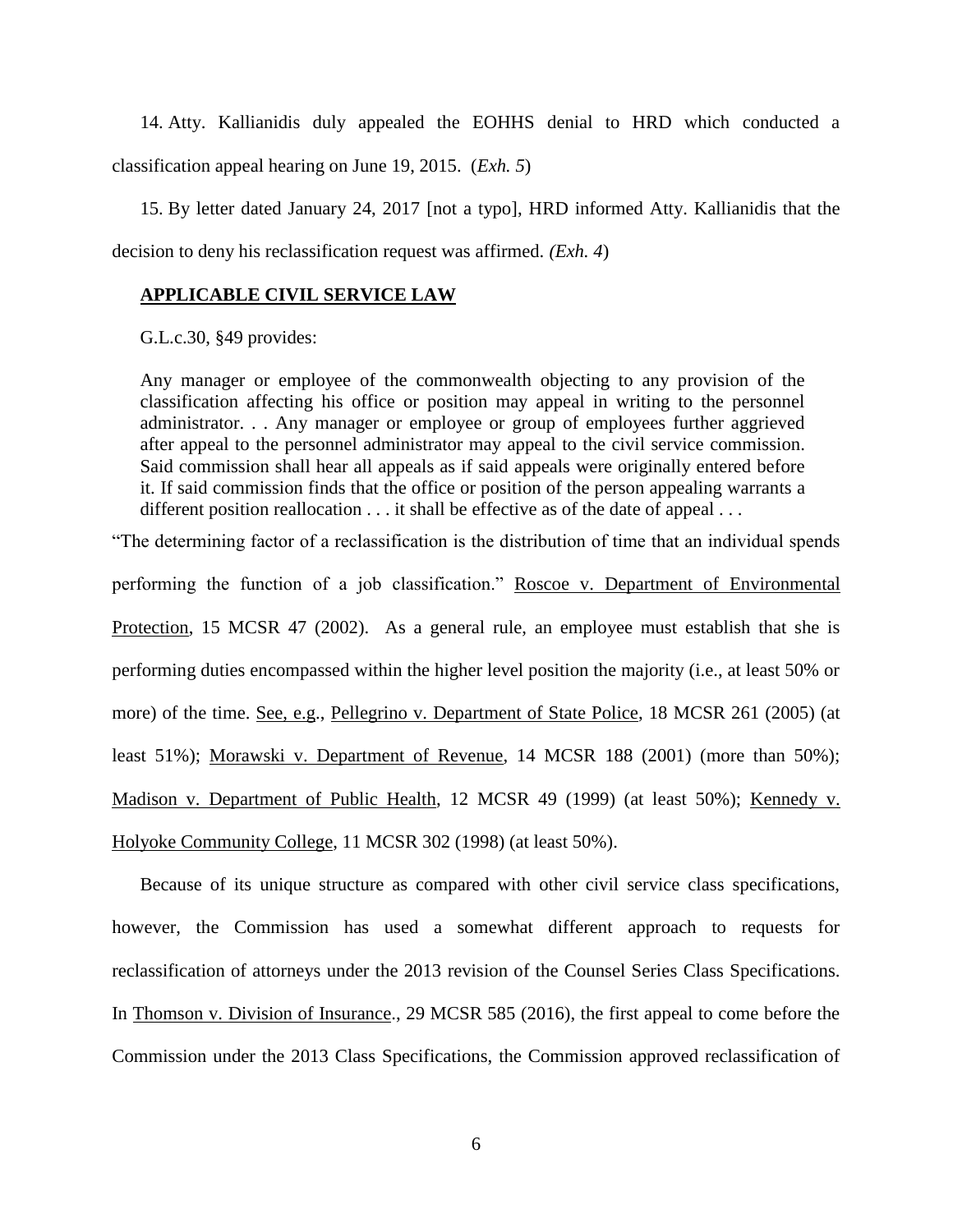14. Atty. Kallianidis duly appealed the EOHHS denial to HRD which conducted a classification appeal hearing on June 19, 2015. (*Exh. 5*)

15. By letter dated January 24, 2017 [not a typo], HRD informed Atty. Kallianidis that the decision to deny his reclassification request was affirmed. *(Exh. 4*)

# **APPLICABLE CIVIL SERVICE LAW**

G.L.c.30, §49 provides:

Any manager or employee of the commonwealth objecting to any provision of the classification affecting his office or position may appeal in writing to the personnel administrator. . . Any manager or employee or group of employees further aggrieved after appeal to the personnel administrator may appeal to the civil service commission. Said commission shall hear all appeals as if said appeals were originally entered before it. If said commission finds that the office or position of the person appealing warrants a different position reallocation . . . it shall be effective as of the date of appeal . . .

"The determining factor of a reclassification is the distribution of time that an individual spends

performing the function of a job classification." Roscoe v. Department of Environmental Protection, 15 MCSR 47 (2002). As a general rule, an employee must establish that she is performing duties encompassed within the higher level position the majority (i.e., at least 50% or more) of the time. See, e.g., Pellegrino v. Department of State Police, 18 MCSR 261 (2005) (at least 51%); Morawski v. Department of Revenue, 14 MCSR 188 (2001) (more than 50%); Madison v. Department of Public Health, 12 MCSR 49 (1999) (at least 50%); Kennedy v. Holyoke Community College, 11 MCSR 302 (1998) (at least 50%).

Because of its unique structure as compared with other civil service class specifications, however, the Commission has used a somewhat different approach to requests for reclassification of attorneys under the 2013 revision of the Counsel Series Class Specifications. In Thomson v. Division of Insurance., 29 MCSR 585 (2016), the first appeal to come before the Commission under the 2013 Class Specifications, the Commission approved reclassification of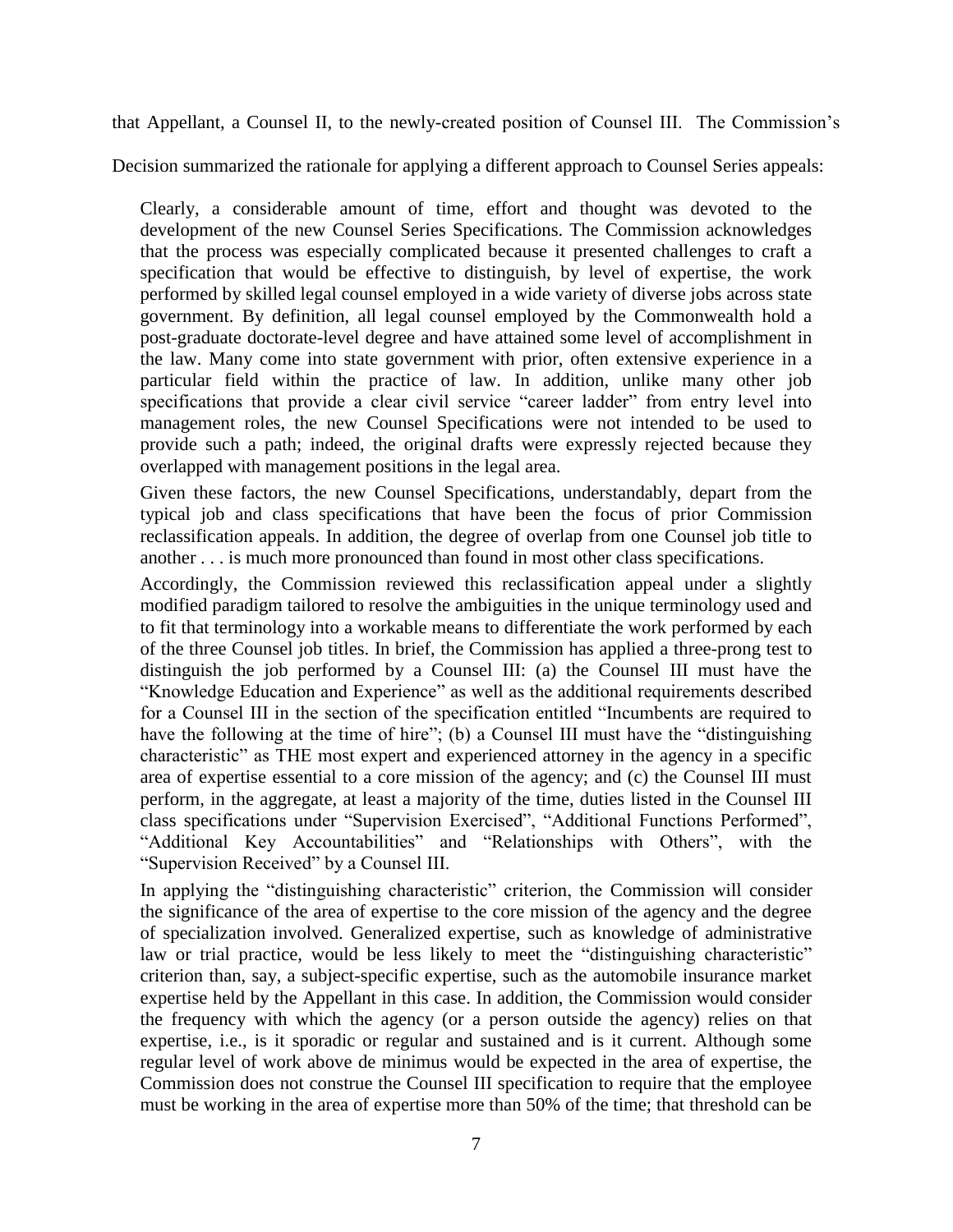that Appellant, a Counsel II, to the newly-created position of Counsel III. The Commission's

Decision summarized the rationale for applying a different approach to Counsel Series appeals:

Clearly, a considerable amount of time, effort and thought was devoted to the development of the new Counsel Series Specifications. The Commission acknowledges that the process was especially complicated because it presented challenges to craft a specification that would be effective to distinguish, by level of expertise, the work performed by skilled legal counsel employed in a wide variety of diverse jobs across state government. By definition, all legal counsel employed by the Commonwealth hold a post-graduate doctorate-level degree and have attained some level of accomplishment in the law. Many come into state government with prior, often extensive experience in a particular field within the practice of law. In addition, unlike many other job specifications that provide a clear civil service "career ladder" from entry level into management roles, the new Counsel Specifications were not intended to be used to provide such a path; indeed, the original drafts were expressly rejected because they overlapped with management positions in the legal area.

Given these factors, the new Counsel Specifications, understandably, depart from the typical job and class specifications that have been the focus of prior Commission reclassification appeals. In addition, the degree of overlap from one Counsel job title to another . . . is much more pronounced than found in most other class specifications.

Accordingly, the Commission reviewed this reclassification appeal under a slightly modified paradigm tailored to resolve the ambiguities in the unique terminology used and to fit that terminology into a workable means to differentiate the work performed by each of the three Counsel job titles. In brief, the Commission has applied a three-prong test to distinguish the job performed by a Counsel III: (a) the Counsel III must have the "Knowledge Education and Experience" as well as the additional requirements described for a Counsel III in the section of the specification entitled "Incumbents are required to have the following at the time of hire"; (b) a Counsel III must have the "distinguishing characteristic" as THE most expert and experienced attorney in the agency in a specific area of expertise essential to a core mission of the agency; and (c) the Counsel III must perform, in the aggregate, at least a majority of the time, duties listed in the Counsel III class specifications under "Supervision Exercised", "Additional Functions Performed", "Additional Key Accountabilities" and "Relationships with Others", with the "Supervision Received" by a Counsel III.

In applying the "distinguishing characteristic" criterion, the Commission will consider the significance of the area of expertise to the core mission of the agency and the degree of specialization involved. Generalized expertise, such as knowledge of administrative law or trial practice, would be less likely to meet the "distinguishing characteristic" criterion than, say, a subject-specific expertise, such as the automobile insurance market expertise held by the Appellant in this case. In addition, the Commission would consider the frequency with which the agency (or a person outside the agency) relies on that expertise, i.e., is it sporadic or regular and sustained and is it current. Although some regular level of work above de minimus would be expected in the area of expertise, the Commission does not construe the Counsel III specification to require that the employee must be working in the area of expertise more than 50% of the time; that threshold can be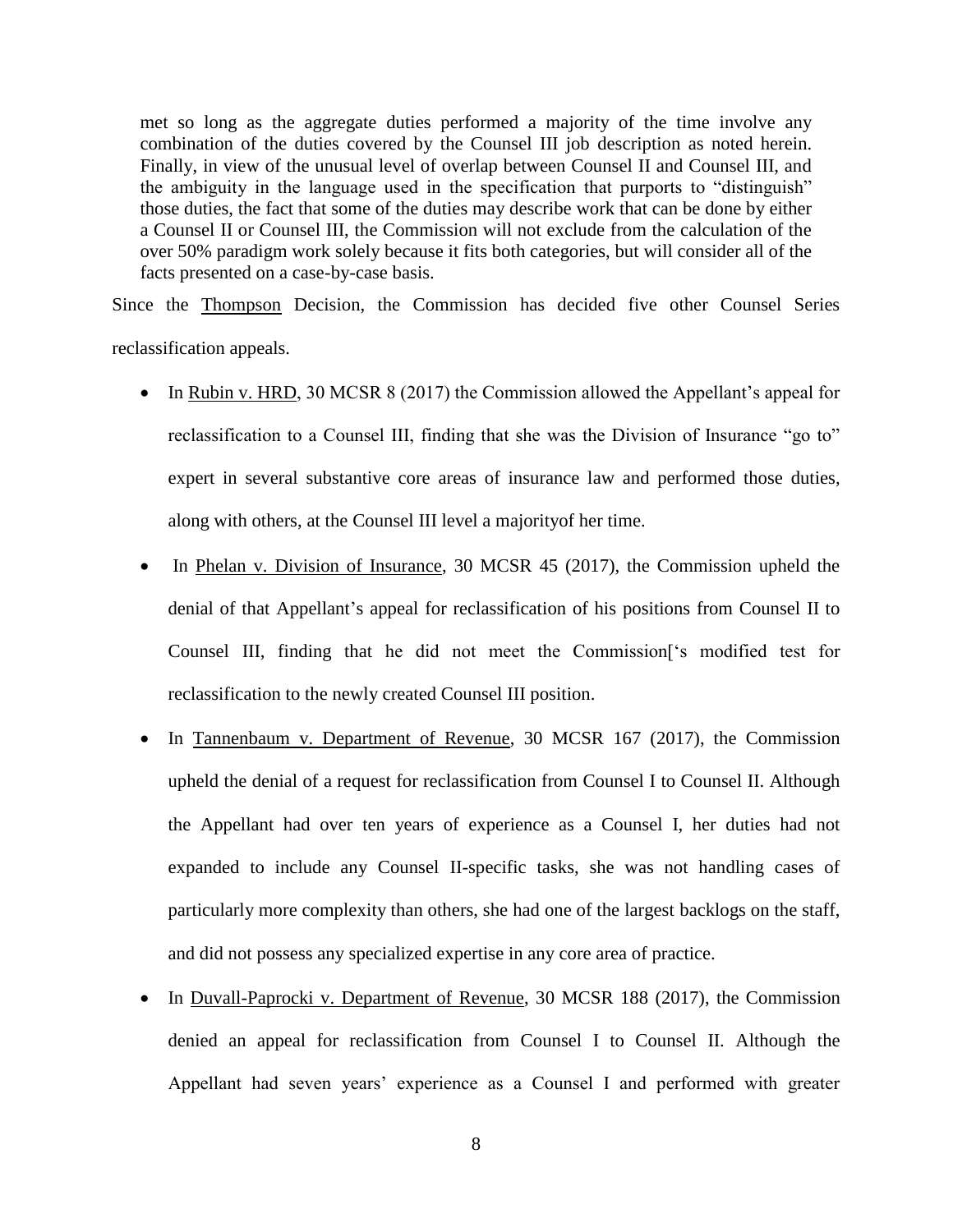met so long as the aggregate duties performed a majority of the time involve any combination of the duties covered by the Counsel III job description as noted herein. Finally, in view of the unusual level of overlap between Counsel II and Counsel III, and the ambiguity in the language used in the specification that purports to "distinguish" those duties, the fact that some of the duties may describe work that can be done by either a Counsel II or Counsel III, the Commission will not exclude from the calculation of the over 50% paradigm work solely because it fits both categories, but will consider all of the facts presented on a case-by-case basis.

Since the Thompson Decision, the Commission has decided five other Counsel Series reclassification appeals.

- In Rubin v. HRD, 30 MCSR 8 (2017) the Commission allowed the Appellant's appeal for reclassification to a Counsel III, finding that she was the Division of Insurance "go to" expert in several substantive core areas of insurance law and performed those duties, along with others, at the Counsel III level a majorityof her time.
- In Phelan v. Division of Insurance, 30 MCSR 45 (2017), the Commission upheld the denial of that Appellant's appeal for reclassification of his positions from Counsel II to Counsel III, finding that he did not meet the Commission['s modified test for reclassification to the newly created Counsel III position.
- In Tannenbaum v. Department of Revenue, 30 MCSR 167 (2017), the Commission upheld the denial of a request for reclassification from Counsel I to Counsel II. Although the Appellant had over ten years of experience as a Counsel I, her duties had not expanded to include any Counsel II-specific tasks, she was not handling cases of particularly more complexity than others, she had one of the largest backlogs on the staff, and did not possess any specialized expertise in any core area of practice.
- In Duvall-Paprocki v. Department of Revenue, 30 MCSR 188 (2017), the Commission denied an appeal for reclassification from Counsel I to Counsel II. Although the Appellant had seven years' experience as a Counsel I and performed with greater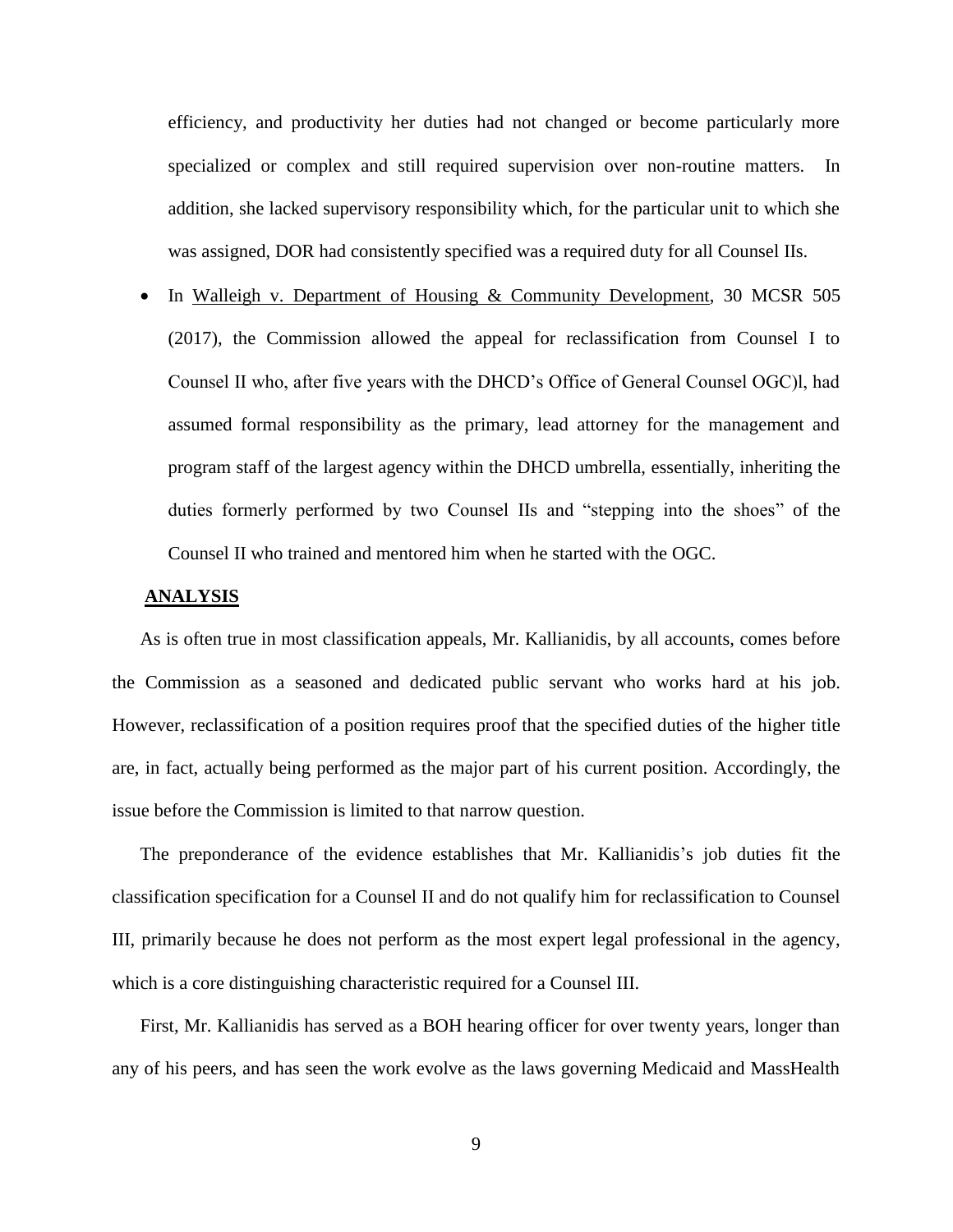efficiency, and productivity her duties had not changed or become particularly more specialized or complex and still required supervision over non-routine matters. In addition, she lacked supervisory responsibility which, for the particular unit to which she was assigned, DOR had consistently specified was a required duty for all Counsel IIs.

• In Walleigh v. Department of Housing & Community Development, 30 MCSR 505 (2017), the Commission allowed the appeal for reclassification from Counsel I to Counsel II who, after five years with the DHCD's Office of General Counsel OGC)l, had assumed formal responsibility as the primary, lead attorney for the management and program staff of the largest agency within the DHCD umbrella, essentially, inheriting the duties formerly performed by two Counsel IIs and "stepping into the shoes" of the Counsel II who trained and mentored him when he started with the OGC.

### **ANALYSIS**

As is often true in most classification appeals, Mr. Kallianidis, by all accounts, comes before the Commission as a seasoned and dedicated public servant who works hard at his job. However, reclassification of a position requires proof that the specified duties of the higher title are, in fact, actually being performed as the major part of his current position. Accordingly, the issue before the Commission is limited to that narrow question.

The preponderance of the evidence establishes that Mr. Kallianidis's job duties fit the classification specification for a Counsel II and do not qualify him for reclassification to Counsel III, primarily because he does not perform as the most expert legal professional in the agency, which is a core distinguishing characteristic required for a Counsel III.

First, Mr. Kallianidis has served as a BOH hearing officer for over twenty years, longer than any of his peers, and has seen the work evolve as the laws governing Medicaid and MassHealth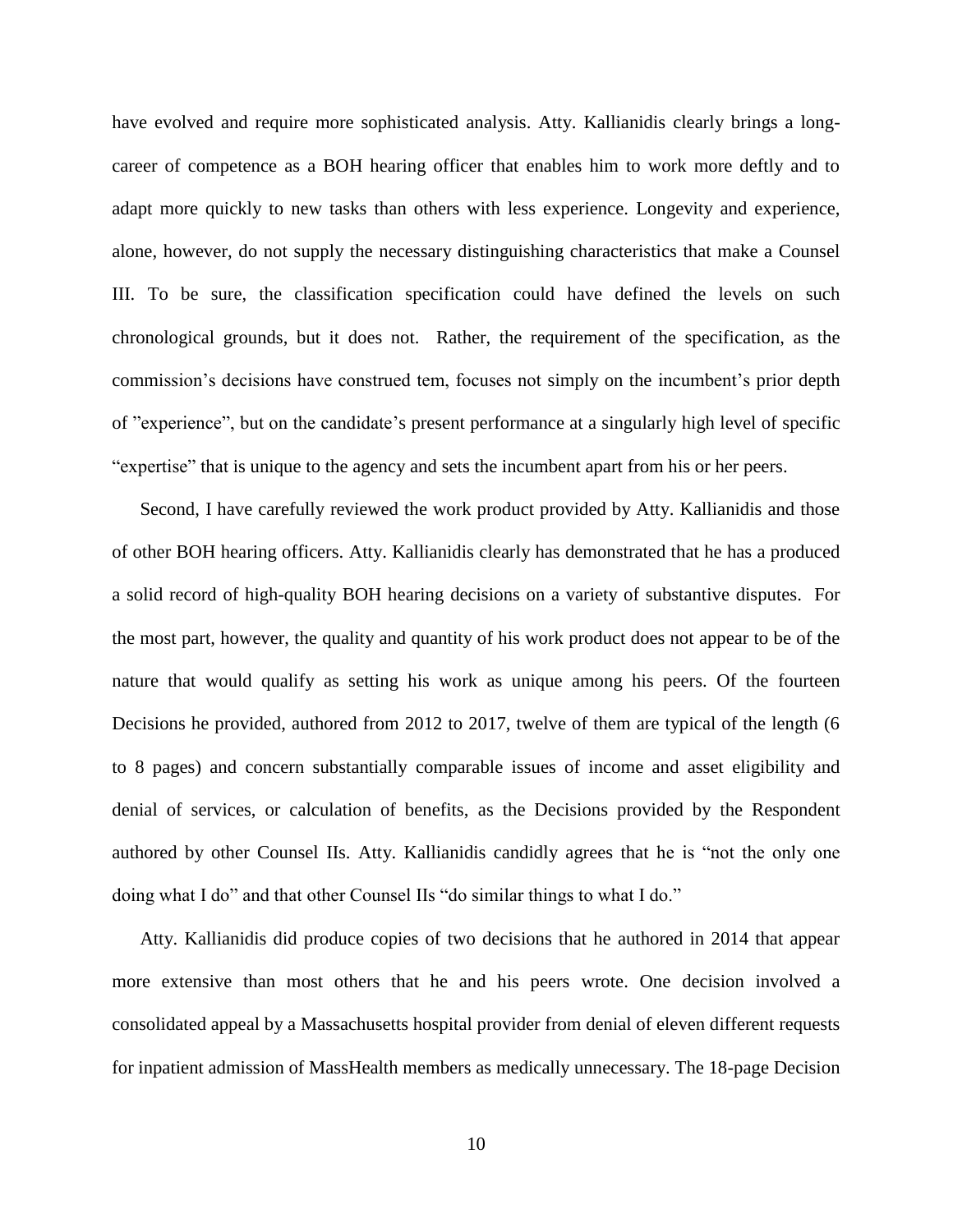have evolved and require more sophisticated analysis. Atty. Kallianidis clearly brings a longcareer of competence as a BOH hearing officer that enables him to work more deftly and to adapt more quickly to new tasks than others with less experience. Longevity and experience, alone, however, do not supply the necessary distinguishing characteristics that make a Counsel III. To be sure, the classification specification could have defined the levels on such chronological grounds, but it does not. Rather, the requirement of the specification, as the commission's decisions have construed tem, focuses not simply on the incumbent's prior depth of "experience", but on the candidate's present performance at a singularly high level of specific "expertise" that is unique to the agency and sets the incumbent apart from his or her peers.

Second, I have carefully reviewed the work product provided by Atty. Kallianidis and those of other BOH hearing officers. Atty. Kallianidis clearly has demonstrated that he has a produced a solid record of high-quality BOH hearing decisions on a variety of substantive disputes. For the most part, however, the quality and quantity of his work product does not appear to be of the nature that would qualify as setting his work as unique among his peers. Of the fourteen Decisions he provided, authored from 2012 to 2017, twelve of them are typical of the length (6 to 8 pages) and concern substantially comparable issues of income and asset eligibility and denial of services, or calculation of benefits, as the Decisions provided by the Respondent authored by other Counsel IIs. Atty. Kallianidis candidly agrees that he is "not the only one doing what I do" and that other Counsel IIs "do similar things to what I do."

Atty. Kallianidis did produce copies of two decisions that he authored in 2014 that appear more extensive than most others that he and his peers wrote. One decision involved a consolidated appeal by a Massachusetts hospital provider from denial of eleven different requests for inpatient admission of MassHealth members as medically unnecessary. The 18-page Decision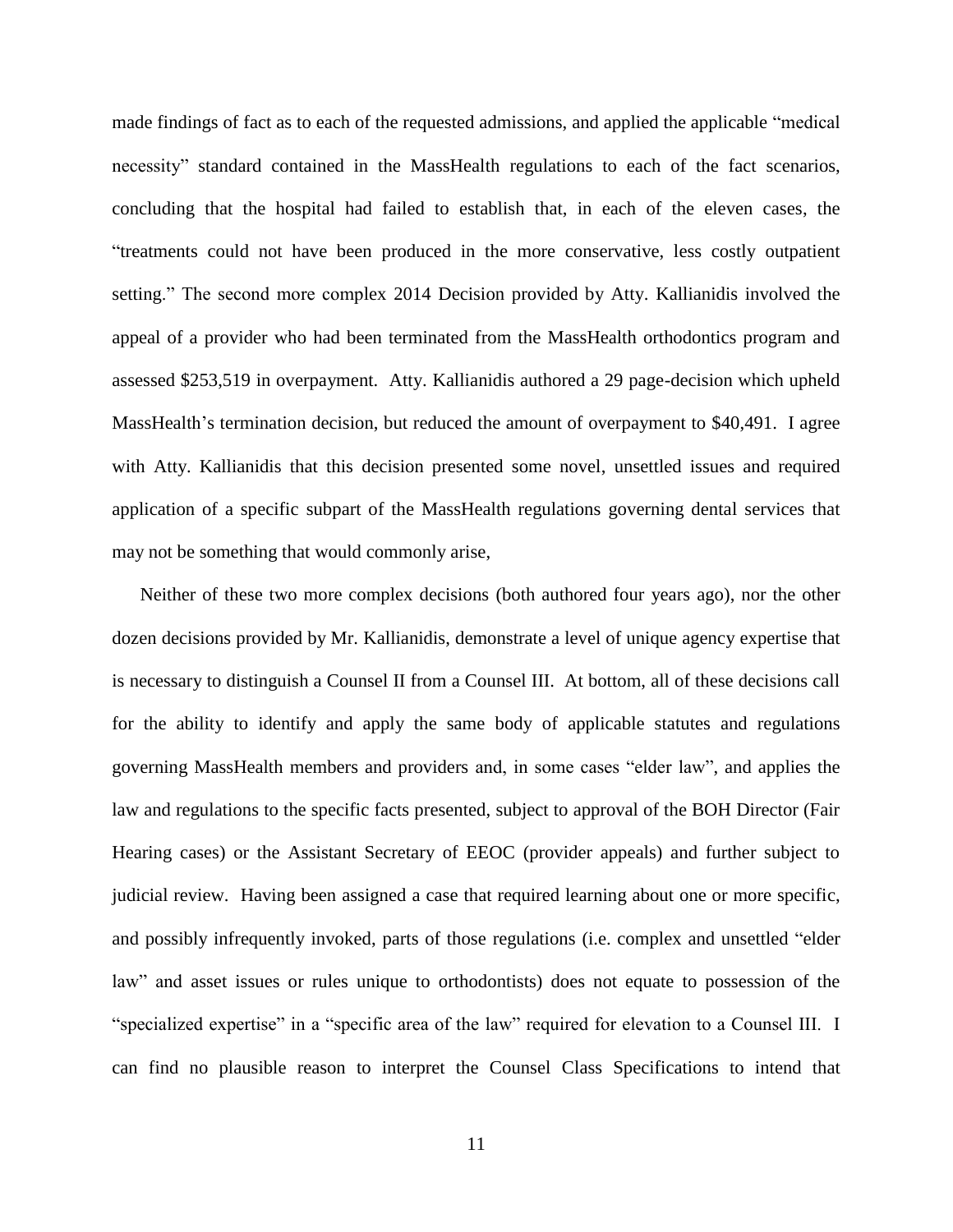made findings of fact as to each of the requested admissions, and applied the applicable "medical necessity" standard contained in the MassHealth regulations to each of the fact scenarios, concluding that the hospital had failed to establish that, in each of the eleven cases, the "treatments could not have been produced in the more conservative, less costly outpatient setting." The second more complex 2014 Decision provided by Atty. Kallianidis involved the appeal of a provider who had been terminated from the MassHealth orthodontics program and assessed \$253,519 in overpayment. Atty. Kallianidis authored a 29 page-decision which upheld MassHealth's termination decision, but reduced the amount of overpayment to \$40,491. I agree with Atty. Kallianidis that this decision presented some novel, unsettled issues and required application of a specific subpart of the MassHealth regulations governing dental services that may not be something that would commonly arise,

Neither of these two more complex decisions (both authored four years ago), nor the other dozen decisions provided by Mr. Kallianidis, demonstrate a level of unique agency expertise that is necessary to distinguish a Counsel II from a Counsel III. At bottom, all of these decisions call for the ability to identify and apply the same body of applicable statutes and regulations governing MassHealth members and providers and, in some cases "elder law", and applies the law and regulations to the specific facts presented, subject to approval of the BOH Director (Fair Hearing cases) or the Assistant Secretary of EEOC (provider appeals) and further subject to judicial review. Having been assigned a case that required learning about one or more specific, and possibly infrequently invoked, parts of those regulations (i.e. complex and unsettled "elder law" and asset issues or rules unique to orthodontists) does not equate to possession of the "specialized expertise" in a "specific area of the law" required for elevation to a Counsel III. I can find no plausible reason to interpret the Counsel Class Specifications to intend that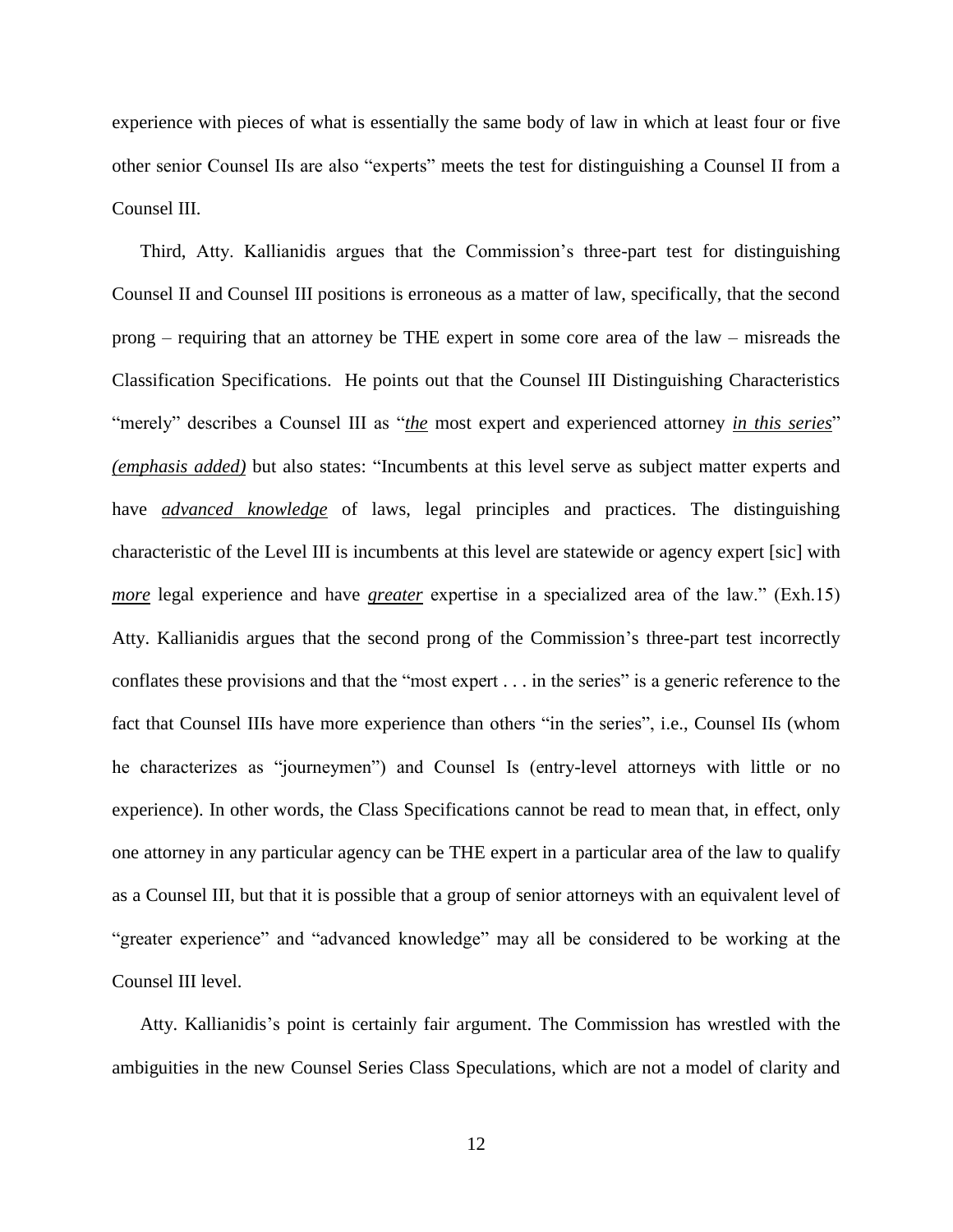experience with pieces of what is essentially the same body of law in which at least four or five other senior Counsel IIs are also "experts" meets the test for distinguishing a Counsel II from a Counsel III.

Third, Atty. Kallianidis argues that the Commission's three-part test for distinguishing Counsel II and Counsel III positions is erroneous as a matter of law, specifically, that the second prong – requiring that an attorney be THE expert in some core area of the law – misreads the Classification Specifications. He points out that the Counsel III Distinguishing Characteristics "merely" describes a Counsel III as "*the* most expert and experienced attorney *in this series*" *(emphasis added)* but also states: "Incumbents at this level serve as subject matter experts and have *advanced knowledge* of laws, legal principles and practices. The distinguishing characteristic of the Level III is incumbents at this level are statewide or agency expert [sic] with *more* legal experience and have *greater* expertise in a specialized area of the law." (Exh.15) Atty. Kallianidis argues that the second prong of the Commission's three-part test incorrectly conflates these provisions and that the "most expert . . . in the series" is a generic reference to the fact that Counsel IIIs have more experience than others "in the series", i.e., Counsel IIs (whom he characterizes as "journeymen") and Counsel Is (entry-level attorneys with little or no experience). In other words, the Class Specifications cannot be read to mean that, in effect, only one attorney in any particular agency can be THE expert in a particular area of the law to qualify as a Counsel III, but that it is possible that a group of senior attorneys with an equivalent level of "greater experience" and "advanced knowledge" may all be considered to be working at the Counsel III level.

Atty. Kallianidis's point is certainly fair argument. The Commission has wrestled with the ambiguities in the new Counsel Series Class Speculations, which are not a model of clarity and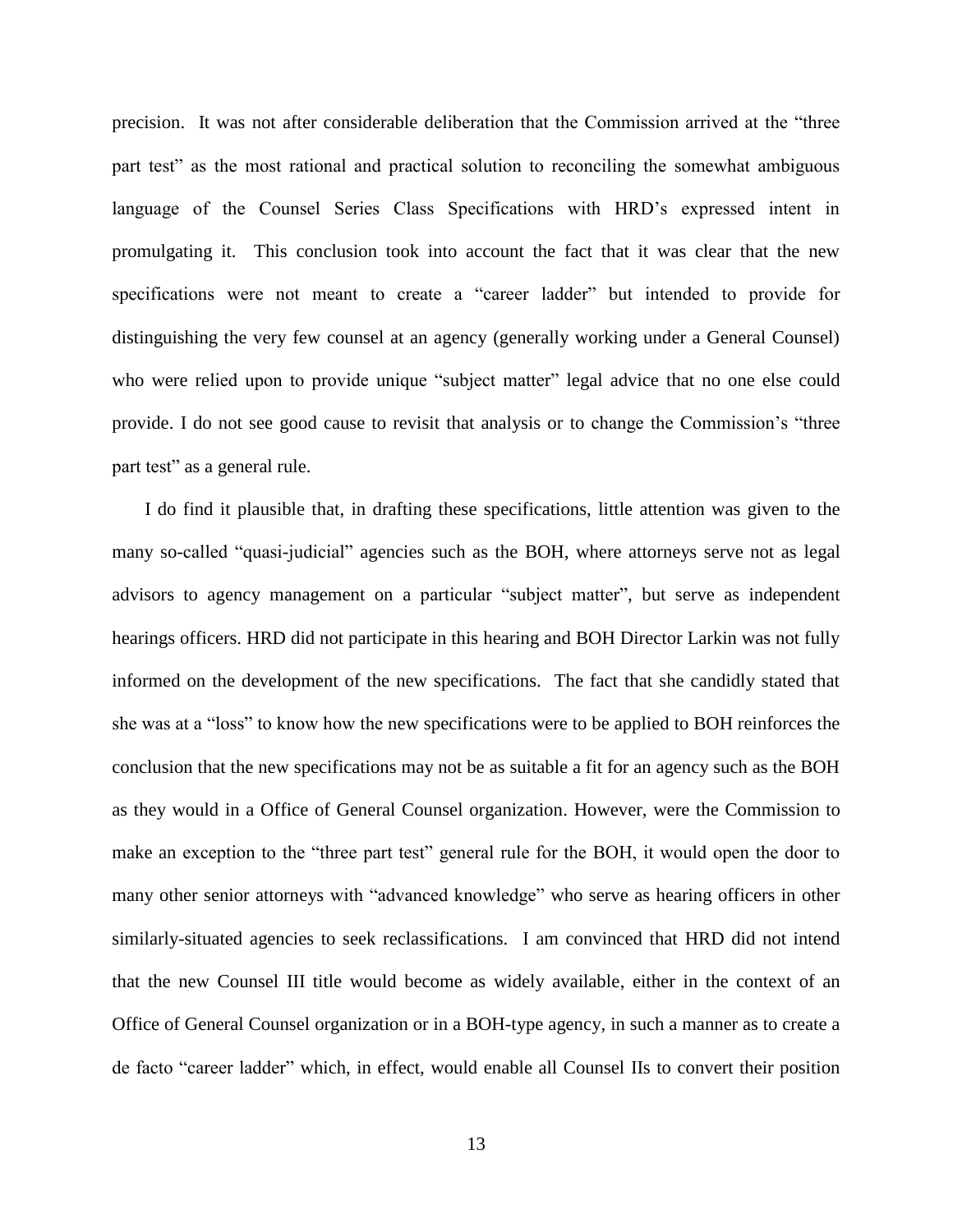precision. It was not after considerable deliberation that the Commission arrived at the "three part test" as the most rational and practical solution to reconciling the somewhat ambiguous language of the Counsel Series Class Specifications with HRD's expressed intent in promulgating it. This conclusion took into account the fact that it was clear that the new specifications were not meant to create a "career ladder" but intended to provide for distinguishing the very few counsel at an agency (generally working under a General Counsel) who were relied upon to provide unique "subject matter" legal advice that no one else could provide. I do not see good cause to revisit that analysis or to change the Commission's "three part test" as a general rule.

I do find it plausible that, in drafting these specifications, little attention was given to the many so-called "quasi-judicial" agencies such as the BOH, where attorneys serve not as legal advisors to agency management on a particular "subject matter", but serve as independent hearings officers. HRD did not participate in this hearing and BOH Director Larkin was not fully informed on the development of the new specifications. The fact that she candidly stated that she was at a "loss" to know how the new specifications were to be applied to BOH reinforces the conclusion that the new specifications may not be as suitable a fit for an agency such as the BOH as they would in a Office of General Counsel organization. However, were the Commission to make an exception to the "three part test" general rule for the BOH, it would open the door to many other senior attorneys with "advanced knowledge" who serve as hearing officers in other similarly-situated agencies to seek reclassifications. I am convinced that HRD did not intend that the new Counsel III title would become as widely available, either in the context of an Office of General Counsel organization or in a BOH-type agency, in such a manner as to create a de facto "career ladder" which, in effect, would enable all Counsel IIs to convert their position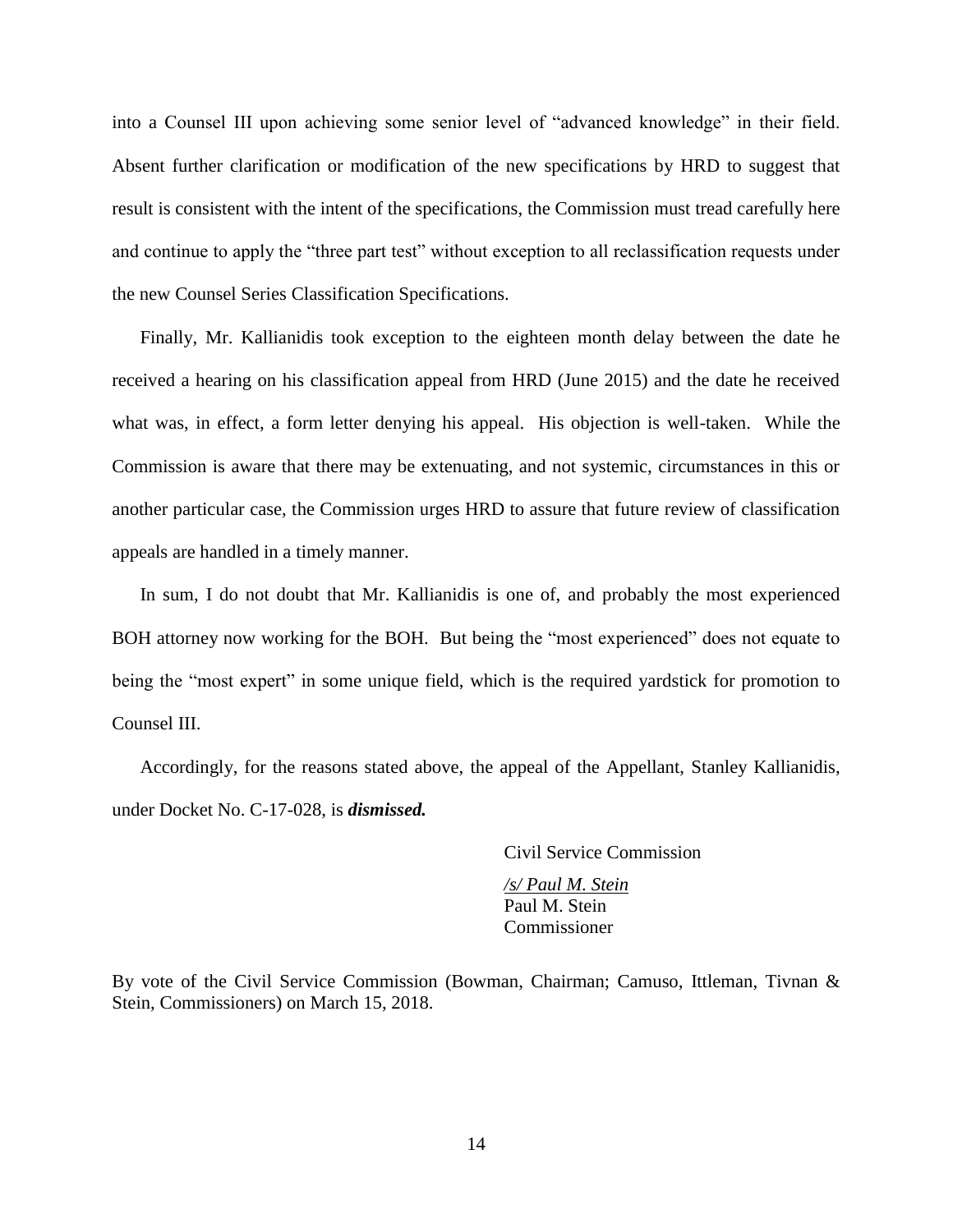into a Counsel III upon achieving some senior level of "advanced knowledge" in their field. Absent further clarification or modification of the new specifications by HRD to suggest that result is consistent with the intent of the specifications, the Commission must tread carefully here and continue to apply the "three part test" without exception to all reclassification requests under the new Counsel Series Classification Specifications.

Finally, Mr. Kallianidis took exception to the eighteen month delay between the date he received a hearing on his classification appeal from HRD (June 2015) and the date he received what was, in effect, a form letter denying his appeal. His objection is well-taken. While the Commission is aware that there may be extenuating, and not systemic, circumstances in this or another particular case, the Commission urges HRD to assure that future review of classification appeals are handled in a timely manner.

In sum, I do not doubt that Mr. Kallianidis is one of, and probably the most experienced BOH attorney now working for the BOH. But being the "most experienced" does not equate to being the "most expert" in some unique field, which is the required yardstick for promotion to Counsel III.

Accordingly, for the reasons stated above, the appeal of the Appellant, Stanley Kallianidis, under Docket No. C-17-028, is *dismissed.*

Civil Service Commission

*/s/ Paul M. Stein* Paul M. Stein Commissioner

By vote of the Civil Service Commission (Bowman, Chairman; Camuso, Ittleman, Tivnan & Stein, Commissioners) on March 15, 2018.